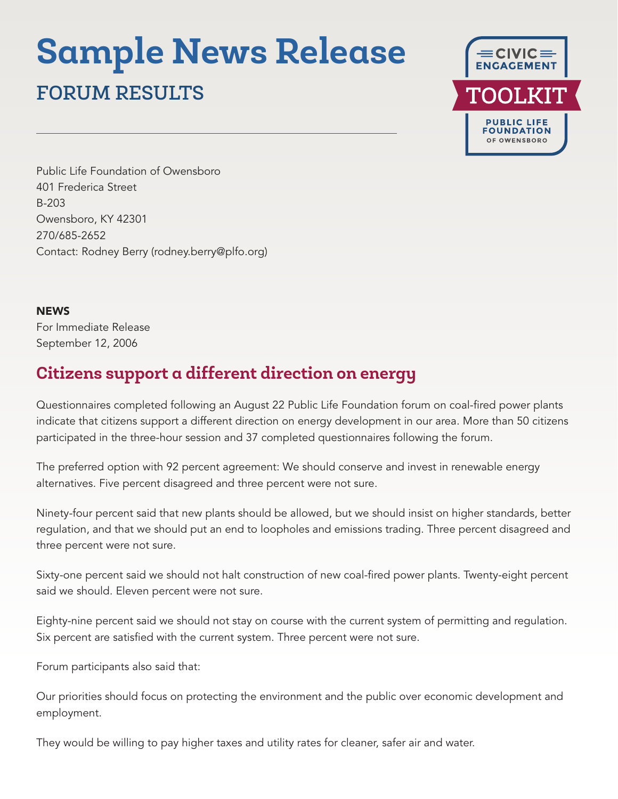# **Sample News Release**

## FORUM RESULTS



Public Life Foundation of Owensboro 401 Frederica Street B-203 Owensboro, KY 42301 270/685-2652 Contact: Rodney Berry (rodney.berry@plfo.org)

#### **NEWS**

For Immediate Release September 12, 2006

### **Citizens support a different direction on energy**

Questionnaires completed following an August 22 Public Life Foundation forum on coal-fired power plants indicate that citizens support a different direction on energy development in our area. More than 50 citizens participated in the three-hour session and 37 completed questionnaires following the forum.

The preferred option with 92 percent agreement: We should conserve and invest in renewable energy alternatives. Five percent disagreed and three percent were not sure.

Ninety-four percent said that new plants should be allowed, but we should insist on higher standards, better regulation, and that we should put an end to loopholes and emissions trading. Three percent disagreed and three percent were not sure.

Sixty-one percent said we should not halt construction of new coal-fired power plants. Twenty-eight percent said we should. Eleven percent were not sure.

Eighty-nine percent said we should not stay on course with the current system of permitting and regulation. Six percent are satisfied with the current system. Three percent were not sure.

Forum participants also said that:

Our priorities should focus on protecting the environment and the public over economic development and employment.

They would be willing to pay higher taxes and utility rates for cleaner, safer air and water.